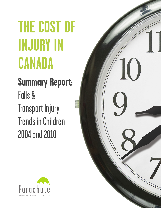# **THE COST OF INJURY IN CANADA**

# **Summary Report:** Falls & Transport Injury Trends in Children 2004 and 2010



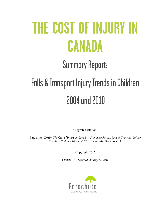# **THE COST OF INJURY IN CANADA**

# Summary Report: Falls & Transport Injury Trends in Children 2004 and 2010

Suggested citation:

Parachute. (2015). *The Cost of Injury in Canada – Summary Report: Falls & Transport Injury Trends in Children 2004 and 2010.* Parachute: Toronto, ON

Copyright 2015

*Version 1.1 – Released January 12, 2016*

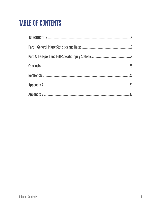# **TABLE OF CONTENTS**

| 25 |
|----|
| 26 |
|    |
| 32 |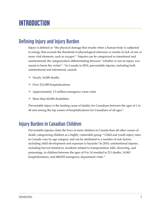# **INTRODUCTION**

## Defining Injury and Injury Burden

Injury is defined as "the physical damage that results when a human body is subjected to energy that exceeds the threshold of physiological tolerance or results in lack of one or more vital elements, such as oxygen".1 Injuries can be categorized as intentional and unintentional; the categorization differentiating between "whether or not an injury was meant to harm the victim". 2 In Canada in 2010, preventable injuries, including both unintentional and intentional, caused:

- ❖ Nearly 16,000 deaths
- ❖ Over 231,000 hospitalizations
- ❖ Approximately 3.5 million emergency room visits
- ❖ More than 60,000 disabilities

Preventable injury is the leading cause of fatality for Canadians between the ages of 1 to 44 and among the top causes of hospitalizations for Canadians of all ages.<sup>3</sup>

### Injury Burden in Canadian Children

Preventable injuries claim the lives of more children in Canada than all other causes of death, categorizing children as a highly vulnerable group. 4 Child and youth injury rates in Canada vary by age category and can be attributed to a number of risk factors, including child development and exposure to hazards.2 In 2010, unintentional injuries, including but not limited to, incidents related to transportation, falls, drowning, and poisonings, in children between the ages of 0 to 14 resulted in 211 deaths, 14,965 hospitalizations, and 680,855 emergency department visits.<sup>3</sup>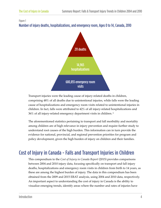

Transport injuries were the leading cause of injury-related deaths in children, comprising 48% of all deaths due to unintentional injuries, while falls were the leading cause of hospitalizations and emergency room visits related to unintentional injuries in children. In fact, falls were attributed to 42% of all injury-related hospitalizations and 36% of all injury-related emergency department visits in children.<sup>3</sup>

The aforementioned statistics pertaining to transport and fall morbidity and mortality among children are of high relevance in injury prevention and require further study to understand root causes of the high burden. This information can in turn provide the evidence for national, provincial, and regional prevention priorities for program and policy development, given the high burden of injury on children and their families.

## Cost of Injury in Canada - Falls and Transport Injuries in Children

This compendium to the *Cost of Injury in Canada Report* (2015) provides comparisons between 2004 and 2010 injury data, focusing specifically on transport and fall injury deaths, hospitalizations and emergency room visits in children from birth to 14 years, as these are among the highest burden of injury. The data in this compendium has been obtained from the 2009 and 2015 ERAT analysis, using 2004 and 2010 data, respectively. An important aspect to understanding the cost of injury in Canada is the ability to visualize emerging trends, identify areas where the number and rates of injuries have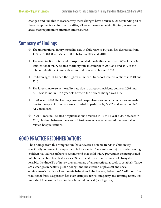changed and link this to reasons why these changes have occurred. Understanding all of these components can inform priorities, allow successes to be highlighted, as well as areas that require more attention and resources.

### Summary of Findings

- ❖ The unintentional injury mortality rate in children 0 to 14 years has decreased from 4.33 per 100,000 to 3.75 per 100,00 between 2004 and 2010.
- ❖ The combination of fall and transport related mortalities comprised 52% of the total unintentional injury-related mortality rate in children in 2004 and and 45% of the total unintentional injury-related mortality rate in children 2010.
- ❖ Children ages 10-14 had the highest number of transport-related fatalities in 2004 and 2010.
- ❖ The largest increase in mortality rate due to transport incidents between 2004 and 2010 was found in 0 to 4 year olds, where the percent change was 19%.
- ❖ In 2004 and 2010, the leading causes of hospitalizations and emergency room visits due to transport incidents were attributed to pedal cycle, MVC, and snowmobile/ ATV incidents.
- ❖ In 2004, most fall-related hospitalizations occurred in 10 to 14 year olds, however in 2010, children between the ages of 0 to 4 years of age experienced the most fallsrelated hospitalizations.

### GOOD PRACTICE RECOMMENDATIONS

The findings from this compendium have revealed notable trends in child injury, specifically in terms of transport and fall incidents. The significant injury burden among children has led researchers to recommend that child injury prevention be incorporated into broader child health strategies.2 Since the aforementioned may not always be feasible, the three E's of injury prevention are often prescribed as tools to establish "large scale changes in healthy public policy" and the creation of physical and social environments "which allow the safe behaviour to be the easy behaviour".6 Although the traditional three E approach has been critiqued for its' simplicity and limiting terms, it is important to consider them in their broadest context (See Figure 2).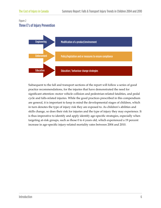#### Figure 2 Three E's of Injury Prevention



Subsequent to the fall and transport sections of the report will follow a series of good practice recommendations, for the injuries that have demonstrated the need for significant attention: motor vehicle collision and pedestrian-related fatalities, and pedal cycle and falls-related injuries*.* While the good practices prescribed in this compendium are general, it is important to keep in mind the developmental stages of children, which in turn denotes the type of injury risk they are exposed to. As children's abilities and skills change, so does their risk for injuries and the type of injury they may experience. It is thus imperative to identify and apply identify age-specific strategies, especially when targeting at-risk groups, such as those 0 to 4 years old, which experienced a 19 percent increase in age-specific injury-related mortality rates between 2004 and 2010.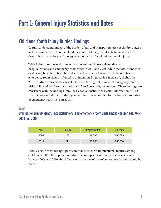# **Part 1: General Injury Statistics and Rates**

## Child and Youth Injury Burden Findings

To fully understand impact of the burden of fall and transport injuries in children, ages 0 to 14, it is imperative to understand the context of the general statistics and rates of deaths, hospitalizations and emergency room visits for *all* unintentional injuries.

Table 1 describes the total number of unintentional injury-related deaths, hospitalizations and emergency room visits in 2004 and 2010. While the total number of deaths and hospitalizations have decreased between 2004 and 2010, the number of emergency room visits attributed to unintentional injuries has increased, slightly. In 2010, children between the ages of 0 to 4 had the highest number of emergency room visits, followed by 10 to 14 year olds and 5 to 9 year olds, respectively. These findings are consistent with the findings from the Canadian Institute of Health Information (CIHI), where it was found that children younger than five accounted for the highest proportion of emergency room visits in 2010. 5

Table 1

Unintentional injury deaths, hospitalizations, and emergency room visits among children ages 0-14, 2004 and 2010

| Year | <b>Deaths</b> | <b>Hospitalizations</b> | <b>ER Visits</b> |
|------|---------------|-------------------------|------------------|
| 2004 | 247           | 19,783                  | 666,325          |
| 2010 | 211           | 15,606                  | 682,950          |

Table 2 below provides age-specific mortality rates for unintentional injuries among children per 100,000 population. While the age-specific mortality rate has decreased between 2004 and 2010, the differences in the size of the reference populations should be noted.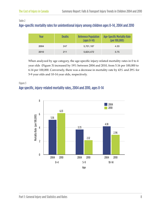#### Table 2

#### Age-specific mortality rates for unintentional injury among children ages 0-14, 2004 and 2010

| Year | <b>Deaths</b> | <b>Reference Population</b><br>$\frac{1}{2}$ (ages 0-14) | <b>Age-Specific Mortality Rate</b><br>(per 100,000) |
|------|---------------|----------------------------------------------------------|-----------------------------------------------------|
| 2004 | 247           | 5,701,187                                                | 4.33                                                |
| 2010 | 211           | 5,624,472                                                | 3.75                                                |

When analyzed by age category, the age-specific injury-related mortality rates in 0 to 4 year olds (Figure 3) increased by 19% between 2004 and 2010, from 5.16 per 100,000 to 6.14 per 100,000. Conversely, there was a decrease in mortality rate by 43% and 29% for 5-9 year olds and 10-14 year olds, respectively.

#### Figure 3 Age specific, injury-related mortality rates, 2004 and 2010, ages 0-14

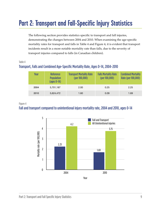# **Part 2: Transport and Fall-Specific Injury Statistics**

The following section provides statistics specific to transport and fall injuries, demonstrating the changes between 2004 and 2010. When examining the age-specific mortality rates for transport and falls in Table 4 and Figure 4, it is evident that transport incidents result in a more notable mortality rate than falls, due to the severity of transport injuries compared to falls (in Canadian children).

#### Table 4

#### Transport, Falls and Combined Age-Specific Mortality Rate, Ages 0-14, 2004-2010

| Year | <b>Reference</b><br><b>Population</b><br>$\left( \text{ages } 0\negmedspace -14 \right)$ | <b>Transport Mortality Rate</b><br>$(per\,100,000)$ | <b>Falls Mortality Rate</b><br>(per 100,000) | <b>Combined Mortality</b><br>Rate (per 100,000) |
|------|------------------------------------------------------------------------------------------|-----------------------------------------------------|----------------------------------------------|-------------------------------------------------|
| 2004 | 5,701,187                                                                                | 2.00                                                | 0.25                                         | 2.25                                            |
| 2010 | 5,624,472                                                                                | 1.60                                                | 0.09                                         | 1.69                                            |

#### Figure 4

#### Fall and transport compared to unintentional injury mortality rate, 2004 and 2010, ages 0-14

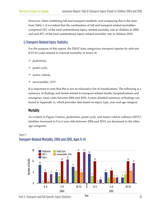However, when combining fall and transport incidents, and comparing this to the data from Table 1, it is evident that the combination of fall and transport related mortalities comprised 52% of the total unintentional injury-related mortality rate in children in 2004 and and 45% of the total unintentional injury-related mortality rate in children 2010.

#### i) Transport-Related Injury Statistics

For the purpose of this report, the ERAT data categorizes transport injuries by relevant ICD-10 codes related to external mortality in terms of:

- ❖ pedestrian,
- ❖ pedal cycle,
- ❖ motor vehicle,
- ❖ snowmobile/ATV

It is important to note that this is not an exhaustive list of classifications. The following is a summary of findings and trends related to transport-related deaths, hospitalizations and emergency room visits between 2004 and 2010. A more detailed summary of findings can found in Appendix A, which provides data based on injury type, year and age category.

#### **Mortality**

As evident in Figure 5 below, pedestrian, pedal cycle, and motor vehicle collision (MVC) fatalities increased in 0 to 4 year olds between 2004 and 2010, yet decreased in the other age categories.



#### Figure 5 Transport-Related Mortality, 2004 and 2010, Ages 0-14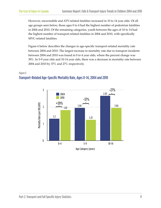However, snowmobile and ATV-related fatalities increased in 10 to 14 year olds. Of all age groups seen below, those ages 0 to 4 had the highest number of pedestrian fatalities in 2004 and 2010. Of the remaining categories, youth between the ages of 10 to 14 had the highest number of transport-related fatalities in 2004 and 2010, with specifically MVC-related fatalities.

Figure 6 below describes the changes in age-specific transport-related mortality rate between 2004 and 2010. The largest increase in mortality rate due to transport incidents between 2004 and 2010 was found in 0 to 4 year olds, where the percent change was 39%. In 5-9 year olds and 10-14 year olds, there was a decrease in mortality rate between 2004 and 2010 by 37% and 27% respectively.

#### Figure 6



#### Transport-Related Age-Specific Mortality Rate, Ages 0-14, 2004 and 2010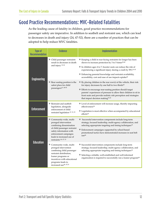## Good Practice Recommendations: MVC-Related Fatalities

As the leading cause of fatality in children, good practice recommendations for passenger safety are imperative. In addition to seatbelt and restraint use, which can lead to decreases in death and injury (24, 47-52), there are a number of practices that can be adopted to help reduce MVC fatalities.

| <b>Type of</b><br><b>Recommendation</b> | <b>Evidence</b>                                                                                                                                                                                                          | <b>Implementation</b>                                                                                                                                                                                                                                                                                                                                                                                                                     |
|-----------------------------------------|--------------------------------------------------------------------------------------------------------------------------------------------------------------------------------------------------------------------------|-------------------------------------------------------------------------------------------------------------------------------------------------------------------------------------------------------------------------------------------------------------------------------------------------------------------------------------------------------------------------------------------------------------------------------------------|
| <b>Engineering</b>                      | ◆ Child passenger restraints<br>result in decreases in death<br>and injury 35-38                                                                                                                                         | * Keeping a child in rear-facing restraints for longer has been<br>shown to increase protection by 3 to 5 times <sup>39,40</sup><br><sup><math>*</math></sup> In children ages 4 to 7, booster seats can reduce the risk of<br>experiencing a significant injury during a crash by 59% <sup>41-45</sup><br>❖ Enhancing parental knowledge and restraint availability,<br>accessibility, cost and ease of use impacts uptake <sup>46</sup> |
|                                         | ◆ Rear seating position is the<br>safest place for child<br>passengers41, 48-50                                                                                                                                          | $\bullet$ By placing children in the rear row(s) of the vehicle, their risk<br>for injury decreases by one half to two thirds <sup>50</sup><br>❖ Efforts to encourage rear-seating position should target<br>parents' experiences of pressure to allow their children to sit in<br>front seats and provide realistic risk perception and strategies<br>that impact decision making <sup>51,52</sup>                                       |
| <b>Enforcement</b>                      | * Restraint and seatbelt<br>legislation, alongside<br>enforcement of child<br>restraint legislation 47, 53, 55                                                                                                           | Level of enforcement will increase usage, thereby impacting<br>effectiveness <sup>54</sup><br>* Legislation is most effective when accompanied by educational<br>efforts <sup>54</sup>                                                                                                                                                                                                                                                    |
|                                         | * Community-wide, multi-<br>pronged intervention<br>combining dissemination<br>of child passenger restraint<br>safety information with<br>enforcement campaigns<br>leads to increased use of<br>restraints 46, 47, 53    | Successful intervention components include long-term<br>strategy, focused leadership, multi-agency collaboration, and<br>selecting appropriate targeting and timing techniques <sup>14</sup><br>* Enforcement campaigns supported by school-based<br>promotional tactics have demonstrated increases in seat belt<br>use <sup>46</sup>                                                                                                    |
| <b>Education</b>                        | * Community-wide, multi-<br>pronged intervention<br>combining child passenger<br>restraint distribution,<br>loaner programs or<br>incentives with educational<br>programs leads to<br>increased use <sup>46, 47,53</sup> | Successful intervention components include long-term<br>strategy, focused leadership, multi-agency collaboration, and<br>selecting appropriate targeting and timing techniques <sup>14</sup><br>Selecting a reliable, well-established and well-informed<br>organization is required to successfully run a loaner program <sup>46</sup>                                                                                                   |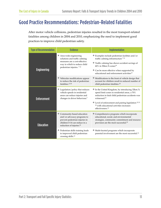## Good Practice Recommendations: Pedestrian-Related Fatalities

After motor vehicle collisions, pedestrian injuries resulted in the most transport-related fatalities among children in 2004 and 2010, emphasizing the need to implement good practices to improve child pedestrian safety.

| <b>Type of Recommendation</b> | <b>Evidence</b>                                                                                                                                                     | <b>Implementation</b>                                                                                                                                                                                                                                                                                                                        |  |  |
|-------------------------------|---------------------------------------------------------------------------------------------------------------------------------------------------------------------|----------------------------------------------------------------------------------------------------------------------------------------------------------------------------------------------------------------------------------------------------------------------------------------------------------------------------------------------|--|--|
| <b>Engineering</b>            | * Area-wide engineering<br>solutions and traffic calming<br>measures are a cost-effective<br>way in which to reduce child<br>pedestrian injuries. <sup>712</sup>    | * Examples include pedestrian facilities and/or<br>traffic calming infrastructure <sup>712</sup><br><sup>*</sup> Traffic calming has shown accident savings of<br>60% in 30km/h zones <sup>19</sup><br>* Can be more effective when supported by<br>educational and enforcement activities <sup>13</sup>                                     |  |  |
|                               | * Vehicular modifications appear<br>to reduce the risk of pedestrian<br>fatalities. <sup>12 20</sup>                                                                | * Modifications to the front of vehicle design that<br>account for children result in reduced number of<br>child pedestrian fatalities <sup>20</sup>                                                                                                                                                                                         |  |  |
| <b>Enforcement</b>            | ◆ Legislation/policy that reduces<br>vehicle speeds in residential<br>areas can reduce injuries and<br>changes in driver behaviour.7                                | $*$ In the United Kingdom, by introducing 32km/k<br>speed limit zones in residential areas, a 70%<br>reduction in fatal child pedestrian accidents was<br>witnessed. <sup>21</sup><br>* Level of enforcement and pairing legislation <sup>22 23</sup><br><sup>24</sup> with educational activities increases<br>effectiveness. <sup>13</sup> |  |  |
| <b>Education</b>              | Community-based education<br>and/or advocacy programs to<br>prevent pedestrian injuries in<br>children 0-14 can reduce in a<br>reduction of injuries. <sup>25</sup> | * Comprehensive programs which incorporate<br>educational, social, and environmental<br>strategies, community commitment and resource<br>provision are the most successful. <sup>25</sup>                                                                                                                                                    |  |  |
|                               | * Pedestrian skills training leads<br>to improved child pedestrian<br>crossing skills. <sup>12</sup>                                                                | * Multi-faceted programs which incorporate<br>parental involvement are the most successful. <sup>12</sup>                                                                                                                                                                                                                                    |  |  |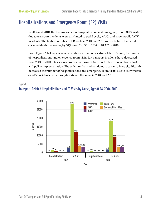## Hospitalizations and Emergency Room (ER) Visits

In 2004 and 2010, the leading causes of hospitalization and emergency room (ER) visits due to transport incidents were attributed to pedal cycle, MVC, and snowmobile/ATV incidents. The highest number of ER visits in 2004 and 2010 were attributed to pedal cycle incidents decreasing by 34% from 28,055 in 2004 to 18,332 in 2010.

From Figure 6 below, a few general statements can be extrapolated. Overall, the number of hospitalizations and emergency room visits for transport incidents have decreased from 2004 to 2010. This shows promise in terms of transport-related prevention efforts and policy implementation. The only numbers which do not appear to have significantly decreased are number of hospitalizations and emergency room visits due to snowmobile or ATV incidents, which roughly stayed the same in 2004 and 2010.

#### Figure 6 Transport-Related Hospitalizations and ER Visits by Cause, Ages 0-14, 2004-2010

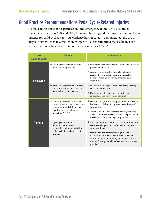### Good Practice Recommendations Pedal Cycle-Related Injuries

As the leading cause of hospitalizations and emergency room (ER) visits due to transport incidents in 2004 and 2010, these numbers suggest the implementation of good practice for child cyclist safety. As evidence has repeatedly demonstrated, the use of bicycle helmets leads to a reduction in injuries – a correctly fitted bicycle helmet can reduce the risk of head and brain injury by as much as  $85\%$ .<sup>789</sup>

| <b>Type of</b><br><b>Recommendation</b> | <b>Evidence</b>                                                                                    | <b>Implementation</b>                                                                                                                                                                                                                                      |  |  |  |
|-----------------------------------------|----------------------------------------------------------------------------------------------------|------------------------------------------------------------------------------------------------------------------------------------------------------------------------------------------------------------------------------------------------------------|--|--|--|
|                                         | * Use of bicycle helmets leads to<br>reduction in injuries. <sup>789</sup>                         | * Imperative to enhance parental knowledge to ensure<br>proper helmet use. <sup>10</sup><br>* Address barriers such as helmet availability,                                                                                                                |  |  |  |
| <b>Engineering</b>                      |                                                                                                    | accessibility and cost by reducing the costs of<br>helmets <sup>10</sup> through give-away programs and<br>discounts. <sup>11</sup>                                                                                                                        |  |  |  |
|                                         | * Area-wide engineering solutions<br>and traffic calming measures can                              | ❖ Examples include speed reduction zones <sup>7</sup> , cycling<br>lanes and pathways <sup>12</sup>                                                                                                                                                        |  |  |  |
|                                         | reduce child cyclist injuries. <sup>7</sup>                                                        | Can be more effective when supported by<br>educational and enforcement activities <sup>13</sup>                                                                                                                                                            |  |  |  |
|                                         | * Community-based approaches,<br>such as education and or advocacy<br>programs around child helmet | * Develop a long-term strategy grounded in effective<br>leadership, collaboration, grassroots and targeted<br>approaches <sup>14</sup>                                                                                                                     |  |  |  |
|                                         | wearing can lead to increased<br>helmet use. <sup>12 14 15 16</sup>                                | Target contextual and upstream factors, including<br>socioeconomic status (SES) through the provision of<br>free helmets and parental participation <sup>15</sup>                                                                                          |  |  |  |
| <b>Education</b>                        | * Cycling skills training<br>demonstrates increased<br>knowledge and improved riding               | * Children require the necessary cognitive and motor<br>skills, knowledge about traffic rules and signs in<br>order to ride safely <sup>17</sup>                                                                                                           |  |  |  |
|                                         | skills in children who received<br>training. $12$                                                  | <sup>*</sup> Introducing comprehensive programs which<br>incorporate multiple elements, such as helmet<br>education, traffic rules, safety guidelines, on-bike<br>training <sup>12</sup> , and parental involvement show the most<br>promise <sup>18</sup> |  |  |  |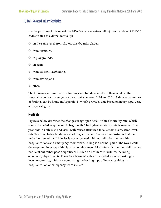#### ii) Fall-Related Injury Statistics

For the purpose of this report, the ERAT data categorizes fall injuries by relevant ICD-10 codes related to external mortality:

- ❖ on the same level, from skates/skis/boards/blades,
- ❖ from furniture,
- ❖ in playgrounds,
- ❖ on stairs,
- ❖ from ladders/scaffolding,
- ❖ from diving, and
- ❖ other.

The following is a summary of findings and trends related to falls-related deaths, hospitalizations and emergency room visits between 2004 and 2010. A detailed summary of findings can be found in Appendix B, which provides data based on injury type, year, and age category.

#### **Mortality**

Figure 8 below describes the changes in age-specific fall-related mortality rate, which should be noted as quite low to begin with. The highest mortality rate is seen in 0 to 4 year olds in both 2004 and 2010, with causes attributed to falls from stairs, same level, skis/boards/blades, ladders/scaffolding and other. The data demonstrates that the major burden with fall injuries is not associated with mortality, but rather with hospitalizations and emergency room visits. Falling is a normal part of the way a child develops and interacts with his or her environment. Most often, falls among children are non-fatal but rather pose a significant burden on health care facilities, including emergency departments. These trends are reflective on a global scale in most highincome countries, with falls comprising the leading type of injury resulting in hospitalization or emergency room visits.<sup>56</sup>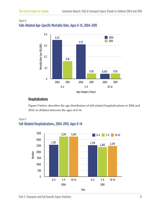#### Figure 8 Falls-Related Age-Specific Mortality Rate, Ages 0-14, 2004-2010



#### Hospitalizations

Figure 9 below describes the age distribution of fall-related hospitalizations in 2004 and 2010, in children between the ages of 0-14.



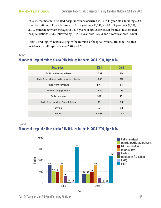In 2004, the most falls-related hospitalizations occurred in 10 to 14 year olds, totalling 3,245 hospitalizations, followed closely by 5 to 9 year olds (3,241) and 0 to 4 year olds (2,581). In 2010, children between the ages of 0 to 4 years of age experienced the most falls-related hospitalizations 2,539, followed by 10 to 14 year olds (2,479) and 5 to 9 year olds (2,402).

Table 7 and Figure 10 below depict the number of hospitalizations due to fall-related incidents by fall type between 2004 and 2010.

#### Table 7

#### Number of Hospitalizations due to Falls-Related Incidents, 2004-2010, Ages 0-14

| <b>Description</b>                      | 2004  | 2010  |
|-----------------------------------------|-------|-------|
| Falls on the same level                 | 1,591 | 814   |
| Falls from skates, skis, boards, blades | 1,055 | 812   |
| <b>Falls from furniture</b>             | 978   | 954   |
| <b>Falls in playgrounds</b>             | 1,582 | 1,553 |
| <b>Falls on stairs</b>                  | 599   | 431   |
| Falls from ladders / scaffolding        | 49    | 30    |
| <b>Diving</b>                           | 27    | 28    |
| <b>Other</b>                            | 9,067 | 7,020 |

#### Figure 10

#### Number of Hospitalizations due to Falls-Related Incidents, 2004-2010, Ages 0-14

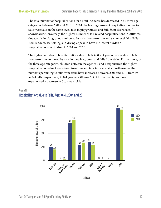The total number of hospitalizations for all fall-incidents has decreased in all three age categories between 2004 and 2010. In 2004, the leading causes of hospitalization due to falls were falls on the same level, falls in playgrounds, and falls from skis/skates/ snowboards. Conversely, the highest number of fall-related hospitalizations in 2010 was due to falls in playgrounds, followed by falls from furniture and same-level falls. Falls from ladders/scaffolding and diving appear to have the lowest burden of hospitalizations in children in 2004 and 2010.

The highest number of hospitalizations due to falls in 0 to 4 year olds was due to falls from furniture, followed by falls in the playground and falls from stairs. Furthermore, of the three age categories, children between the ages of 0 and 4 experienced the highest hospitalizations due to falls from furniture and falls in from stairs. Furthermore, the numbers pertaining to falls from stairs have increased between 2004 and 2010 from 693 to 744 falls, respectively, in 0-4 year olds (Figure 11). All other fall types have experienced a decrease in 0 to 4 year olds.

#### Figure 11 Hospitalizations due to Falls, Ages 0-4, 2004 and 201

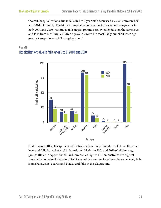Overall, hospitalizations due to falls in 5 to 9 year olds decreased by 26% between 2004 and 2010 (Figure 12). The highest hospitalizations in the 5 to 9 year old age groups in both 2004 and 2010 was due to falls in playgrounds, followed by falls on the same level and falls from furniture. Children ages 5 to 9 were the most likely out of all three age groups to experience a fall in a playground.

#### Figure 12 Hospitalizations due to falls, ages 5 to 9, 2004 and 2010



Children ages 10 to 14 experienced the highest hospitalization due to falls on the same level and falls from skates, skis, boards and blades in 2004 and 2010 of all three age groups (Refer to Appendix B). Furthermore, as Figure 13, demonstrates the highest hospitalizations due to falls in 10 to 14 year olds were due to falls on the same level, falls from skates, skis, boards and blades and falls in the playground.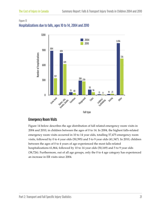#### Figure 13 Hospitalizations due to falls, ages 10 to 14, 2004 and 2010



#### Emergency Room Visits

Figure 14 below describes the age distribution of fall related emergency room visits in 2004 and 2010, in children between the ages of 0 to 14. In 2004, the highest falls-related emergency room visits occurred in 10 to 14 year olds, totalling 57,475 emergency room visits, followed by 0 to 4 year olds (50,395) and 5 to 9 year olds (41,347). In 2010, children between the ages of 0 to 4 years of age experienced the most falls-related hospitalizations 61,864, followed by 10 to 14 year olds (50,169) and 5 to 9 year olds (38,726). Furthermore, out of all age groups, only the 0 to 4 age category has experienced an increase in ER visits since 2004.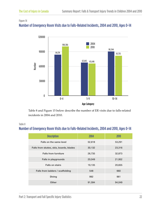#### Figure 14

#### Number of Emergency Room Visits due to Falls-Related Incidents, 2004 and 2010, Ages 0-14



#### Table 8

#### Number of Emergency Room Visits due to Falls-Related Incidents, 2004 and 2010, Ages 0-14

| 30000                       |                                                                                          |                     |           |
|-----------------------------|------------------------------------------------------------------------------------------|---------------------|-----------|
| $\pmb{0}$                   | $0 - 4$                                                                                  | $5-9$               | $10 - 14$ |
|                             |                                                                                          | <b>Age Category</b> |           |
| incidents in 2004 and 2010. |                                                                                          |                     |           |
|                             | Number of Emergency Room Visits due to Falls-Related Incidents, 2004 and 2010, Ages 0-14 |                     |           |
|                             | <b>Description</b>                                                                       | 2004                | 2010      |
|                             | Falls on the same level                                                                  | 52,618              | 53,291    |
|                             | Falls from skates, skis, boards, blades                                                  | 30,132              | 23,316    |
|                             | <b>Falls from furniture</b>                                                              | 26,735              | 32,873    |
|                             | Falls in playgrounds                                                                     | 20,049              | 21,952    |
|                             | <b>Falls on stairs</b>                                                                   | 19,135              | 20,655    |
|                             | Falls from ladders / scaffolding                                                         | 548                 | 660       |
|                             | <b>Diving</b>                                                                            | 992                 | 961       |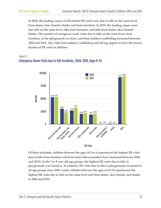In 2004, the leading causes of fall-related ER visits were due to falls on the same level, from skates/skis/boards/blades and from furniture. In 2010, the leading causes were due falls on the same level, falls from furniture, and falls from skates/skis/boards/ blades. The number of emergency room visits due to falls on the same level, from furniture, in the playground, on stairs, and from ladders/scaffolding increased between 2004 and 2010. Also, falls from ladders/scaffolding and diving appear to have the lowest burden of ER visits in children.

#### Figure 15 Emergency Room Visits due to Fall-Incidents, 2004-2010, Ages 0-14





Of these incidents, children between the ages of 0 to 4 experienced the highest ER visits due to falls from furniture and from stairs (these numbers have increased between 2004 and 2010). In the 5 to 9 year old age groups, the highest ER visits due to falls in playgrounds was found in. In addition, ER visits due to falls in playgrounds increased in all age groups since 2004. Lastly, children between the ages of 10-14 experienced the highest ER visits due to falls on the same level and from skates, skis, boards, and blades in 2004 and 2010.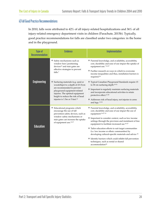#### ii) Fall Good Practice Recommendations

In 2010, falls were attributed to 42% of all injury-related hospitalizations and 36% of all injury-related emergency department visits in children (Parachute, 2015b). Typically, good practice recommendations for falls are classified under two categories: in the home and in the playground.

| <b>Type of</b><br><b>Recommendation</b> | <b>Evidence</b>                                                                                                                                                                                                                                          | <b>Implementation</b>                                                                                                                                                                                                                                                                                                                                                                                                                                                                                                                                                                              |  |  |  |
|-----------------------------------------|----------------------------------------------------------------------------------------------------------------------------------------------------------------------------------------------------------------------------------------------------------|----------------------------------------------------------------------------------------------------------------------------------------------------------------------------------------------------------------------------------------------------------------------------------------------------------------------------------------------------------------------------------------------------------------------------------------------------------------------------------------------------------------------------------------------------------------------------------------------------|--|--|--|
|                                         | Safety mechanisms such as<br>window bars/positioning<br>devices <sup>12</sup> and stair gates are<br>effective strategies to prevent<br>falls. $7$                                                                                                       | * Parental knowledge, and availability, accessibility,<br>cost, durability and ease of use impact the uptake of<br>equipment use. <sup>7</sup> 26 27<br>♦ Further research on ways in which to overcome<br>income inequalities and thus, installation barriers is<br>required. <sup>28</sup>                                                                                                                                                                                                                                                                                                       |  |  |  |
| <b>Engineering</b>                      | Surfacing materials (e.g. sand or<br>woodchips) to a depth of 23-31cm<br>are recommended to prevent<br>playground equipment-related<br>injuries. The optimal equipment<br>height to reduce the risk of head<br>injuries is 1.5m or 5 feet. <sup>12</sup> | * Typical Canadian Playground Standards require 15<br>to 30 cm surfacing depth <sup>29 31</sup><br>♦ Important to regularly maintain surfacing materials<br>and incorporate educational activities to retain<br>protective effect. <sup>12 30</sup><br>Addresses risk of head injury, not injuries to arms<br>and legs. 1232                                                                                                                                                                                                                                                                       |  |  |  |
| <b>Education</b>                        | * Educational programs which<br>encourage the use of fall<br>prevention safety devices, such as<br>window safety mechanisms or<br>stair gates can increase the uptake<br>of equipment use. <sup>12 27</sup>                                              | * Parental knowledge, and availability, accessibility,<br>cost, durability and ease of use impact the use of<br>equipment 26 27 33<br>* Important to consider context, such as low income<br>settings through the provision and instalment of free<br>equipment to facilitate increased use 26 27<br>❖ Tailor education efforts to suit target communities<br>(i.e. low income or ethnic communities) by<br>developing cultural-specific materials and advice 34<br>* Identify barriers which could inhibit fall prevention<br>techniques, such as rental or shared<br>accommodation <sup>34</sup> |  |  |  |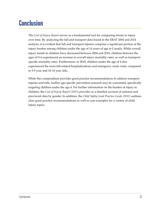## **Conclusion**

The *Cost of Injury Report* serves as a fundamental tool for comparing trends in injury over time. By analyzing the fall and transport data found in the ERAT 2004 and 2014 analysis, it is evident that fall and transport injuries comprise a significant portion of the injury burden among children under the age of 14 years of age in Canada. While overall injury trends in children have decreased between 2004 and 2010, children between the ages of 0-4 experienced an increase in overall injury mortality rates, as well as transportspecific mortality rates. Furthermore, in 2010, children under the age of 4 also experienced the most fall-related hospitalizations and emergency room visits, compared to 5-9 year and 10-14 year olds.

While this compendium provides good practice recommendations to address transport injuries and falls, further age-specific prevention research may be warranted, specifically targeting children under the age 4. For further information on the burden of injury in children, the *Cost of Injury Report (2015)* provides as a detailed account of national and provincial data by gender. In addition, the *Child Safety Good Practice Guide (2011)* outlines clear good practice recommendations as well as case examples for a variety of child injury topics.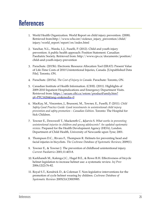## **References**

- 1. World Health Organization. World Report on child injury prevention. (2008). Retrieved from:http://www.who.int/violence\_injury\_prevention/child/ injury/world\_report/report/en/index.html
- 2. Yanchar, N.L., Warda, L.J., Fuselli, P. (2012). Child and youth injury prevention: A public health approach: Position Statement. Canadian Paediatric Society. Retrieved from: http://www.cps.ca/documents/position/ child-and-youth-injury-prevention
- 3. Parachute. (2015b). Electronic Resource Allocation Tool (ERAT): Present Value of Life-Time Costs of 2010 Unintentional Injuries, Canada. [Unpublished Data File]. Toronto, ON.
- 4. Parachute. (2015a). *The Cost of Injury in Canada*. Parachute: Toronto, ON.
- 5. Canadian Institute of Health Information. (CIHI). (2011). Highlights of 2009-2010 Inpatient Hospitalizations and Emergency Department Visits. [Retrieved from: https://secure.cihi.ca/estore/productFamily.htm?](https://secure.cihi.ca/estore/productFamily.htm?pf=PFC1626&lang=en&media=0) pf=PFC1626&lang=en&media=0
- 6. MacKay, M., Vincenten, J., Brussoni, M., Towner, E., Fuselli, P. (2011). *Child Safety Good Practice Guide: Good investments in unintentional child injury prevention and safety promotion – Canadian Edition*. Toronto: The Hospital for Sick Children.
- 7. Towner E., Dowswell T., Mackereth C., &Jarvis S. *What works in preventing unintentional injuries in children and young adolescents? An updated systematic review*. Prepared for the Health Development Agency (HDA), London. Department of Child Health, University of Newcastle upon Tyne; 2001.
- 8. Thompson D.C., Rivara F., Thompson R. Helmets for preventing head and facial injuries in bicyclists. *The Cochrane Database of Systematic Reviews*; 2009(1).
- 9. Towner E., & Towner J. The prevention of childhood unintentional injury. *Current Paediatrics* 2001;11:403-8.
- 10. Karkhaneh M., Kalenga J.C., Hagel B.E., & Rowe B.H. Effectiveness of bicycle helmet legislation to increase helmet use: a systematic review. *Inj Prev* 2006;12(2):76-82.
- 11. Royal S.T., Kendrick D., & Coleman T. Non-legislative interventions for the promotion of cycle helmet wearing by children. *Cochrane Database of Systematic Reviews* 2005(3):CD003985.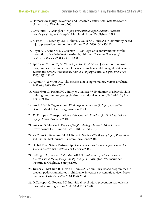- 12. Harborview Injury Prevention and Research Center. *Best Practices*. Seattle: University of Washington; 2001.
- 13. Christoffel T., Gallagher S. *Injury prevention and public health: practical knowledge, skills, and strategies*. Maryland: Aspen Publishers; 1999.
- 14. Klassen T.P., MacKay J.M., Moher D., Walker A., Jones A.L. Community based injury prevention interventions. *Future Child* 2000;10(1):83-110
- 15. Royal S.T., Kendrick D., Coleman T. Non-legislative interventions for the promotion of cycle helmet wearing by children. *Cochrane Database of Systematic Reviews* 2005(3):CD003985.
- 16. Spinks A., Turner C., McClure R., Acton C., & Nixon J. Community-based programmes to promote use of bicycle helmets in children aged 0-14 years: a systematic review. *International Journal of Injury Control & Safety Promotion* 2005;12(3):131-42.
- 17. Agran P.F., & Winn D.G. The bicycle: a developmental toy versus a vehicle. *Pediatrics* 1993;91(4):752-5.
- 18. Macarthur C., Parkin P.C., Sidky M., Wallace W. Evaluation of a bicycle skills training program for young children: a randomized controlled trial. *Inj Prev* 1998;4(2):116-21.
- 19. World Health Organization. *World report on road traffic injury prevention*. Geneva: World Health Organization; 2004.
- 20. 20. European Transportation Safety Council. *Priorities for EU Motor Vehicle Safety Design*. Brussels; 2001.
- 21. Webster D, Mackie A. *Review of traffic calming schemes in 20 mph zones*. Crowthorne: TRL Limited; 1996. (TRL Report 215).
- 22. McClure R., Stevenson M., McEvoy S. *The Scientific Basis of Injury Prevention and Control*. Melbourne: IP Communications; 2004.
- 23. Global Road Safety Partnership. *Speed management: a road safety manual for decision-makers and practitioners*. Geneva; 2008.
- 24. Retting R.A., Farmer C.M., McCartt A.T. *Evaluation of automated speed enforcement in Montgomery County, Maryland*. Arlington, VA: Insurance Institute for Highway Safety; 2008.
- 25. Turner C., McClure R., Nixon J., Spinks A. Community-based programmes to prevent pedestrian injuries in children 0-14 years: a systematic review. *Injury Control & Safety Promotion* 2004;11(4):231-7.
- 26. DiGuiseppi C., Roberts I.G. Individual-level injury prevention strategies in the clinical setting. *Future Child* 2000;10(1):53-82.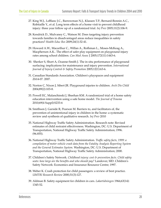- 27. King W.J., LeBlanc J.C., Barrowman N.J., Klassen T.P., Bernard-Bonnin A.C., Robitaille Y., et al. Long term effects of a home visit to prevent childhood injury: three year follow up of a randomized trial. *Inj Prev* 2005;11(2):106-9.
- 28. Kendrick D., Mulvaney C., Watson M. Does targeting injury prevention towards families in disadvantaged areas reduce inequalities in safety practices? *Health Educ Res* 2009;24(1):32-41.
- 29. Howard A.W., Macarthur C., Willan A., Rothman L., Moses-McKeag A., Macpherson A.K.. The effect of safer play equipment on playground injury rates among school children. *Can Med Assoc* J 2005;172(11):1443-6.
- 30. Sherker S, Short A, Ozanne-Smith J. The in situ performance of playground surfacing: implications for maintenance and injury prevention. *International Journal of Injury Control & Safety Promotion* 2005;12(1):63-6.
- 31. Canadian Standards Association. Children's playspaces and equipment Z614-07. 2007.
- 32. Norton C, Nixon J, Sibert JR. Playground injuries to children. *Arch Dis Child* 2004;89(2):103-8.
- 33. Powell EC, Malanchinski J, Sheehan KM. A randomized trial of a home safety education intervention using a safe home model. *The Journal of Trauma* 2010;69(4 Suppl):S233-6
- 34. Smithson J, Garside R, Pearson M. Barriers to, and facilitators of, the prevention of unintentional injury in children in the home: a systematic review and synthesis of qualitative research. *Inj Prev* 2010
- 35. National Highway Traffic Safety Administration. Research note: Revised estimates of child restraint effectiveness. Washington, DC: U.S. Department of Transportation, National Highway Traffic Safety Administration; 1996. (96.855).
- 36. National Highway Traffic Safety Administration. *Traffic safety facts, 1999: a compilation of motor vehicle crash data from the Fatality Analysis Reporting System and the General Estimates System*. Washington, DC: U.S. Department of Transportation, National Highway Traffic Safety Administration; 2000.
- 37. Children's Safety Network. *Childhood injury: cost & prevention facts. Child safety seats: how large are the benefits and who should pay?* Landover, MD. Children's Safety Network: Economics and Insurance Resource Centre; 1997.
- 38. Weber K. Crash protection for child passengers: a review of best practice. *UMTRI Research Review* 2000;31(3):127.
- 39. Aldman B. Safety equipment for children in cars. *Lakartidningen* 1966;63(14): 1345-52.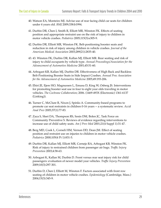- 40. Watson EA, Monteiro MJ. Advise use of rear facing child car seats for children under 4 years old. *BMJ* 2009;338:b1994.
- 41. Durbin DR, Chen I, Smith R, Elliott MR, Winston FK. Effects of seating position and appropriate restraint use on the risk of injury to children in motor vehicle crashes. *Pediatrics* 2005;115(3):e305-9.
- 42. Durbin DR, Elliott MR, Winston FK. Belt-positioning booster seats and reduction in risk of injury among children in vehicle crashes. *Journal of the American Medical Association* 2003;289(21):2835-40.
- 43. 43. Winston FK, Durbin DR, Kallan MJ, Elliott MR. Rear seating and risk of injury to child occupants by vehicle type. *Annual Proceedings/Association for the Advancement of Automotive Medicine* 2001;45:51-60.
- 44. Arbogast KB, Kallan MJ, Durbin DR. Effectiveness of High Back and Backless Belt-Positioning Booster Seats in Side Impact Crashes. *Annual Proc Association for the Advancement of Automotive Medicine* 2005;49:193-206.
- 45. Ehiri JE, Ejere HO, Magnussen L, Emusu D, King W, Osberg JS. Interventions for promoting booster seat use in four to eight year olds traveling in motor vehicles. *The Cochrane Collaboration*; 2006. (1469-493X (Electronic) 1361-6137 (Linking)).
- 46. Turner C, McClure R, Nixon J, Spinks A. Community-based programs to promote car seat restraints in children 0-16 years -- a systematic review. *Accid Anal Prev* 2005;37(1):77-83.
- 47. Zaza S, Sleet DA, Thompson RS, Sosin DM, Bolen JC, Task Force on Community Preventive S. Reviews of evidence regarding interventions to increase use of child safety seats. *Am J Prev Med* 2001;21(4 Suppl 1):31-47.
- 48. Berg MD, Cook L, Corneli HM, Vernon DD, Dean JM. Effect of seating position and restraint use on injuries to children in motor vehicle crashes. *Pediatrics* 2000;105(4 Pt 1):831-5.
- 49. Durbin DR, Kallan MJ, Elliott MR, Cornejo RA, Arbogast KB, Winston FK. Risk of injury to restrained children from passenger air bags. *Traffic Injury Prevention* 2003;4:58-63.
- 50. Arbogast K, Kallan M, Durbin D. Front versus rear seat injury risk for child passengers: evaluation of newer model year vehicles. *Traffic Injury Prevention* 2009;10(3):297-301.
- 51. Durbin D, Chen I, Elliott M, Winston F. Factors associated with front row seating of children in motor vehicle crashes. *Epidemiology* (Cambridge, Mass.) 2004;15(3):345-9.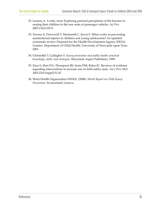- 52. Lennon A. A risky treat: Exploring parental perceptions of the barriers to seating their children in the rear seats of passenger vehicles. *Inj Prev* 2007;13(2):105-9.
- 53. Towner E, Dowswell T, Mackereth C, Jarvis S. What works in preventing unintentional injuries in children and young adolescents? An updated systematic review. Prepared for the Health Development Agency (HDA), London. Department of Child Health, University of Newcastle upon Tyne; 2001.
- 54. Christoffel T, Gallagher S. *Injury prevention and public health: practical knowledge, skills, and strategies*. Maryland: Aspen Publishers; 1999.
- 55. Zaza S, Sleet DA, Thompson RS, Sosin DM, Bolen JC. Reviews of evidence regarding interventions to increase use of child safety seats. *Am J Prev Med*. 2001;21(4 Suppl):31-47.
- 56. Word Health Organization (WHO). (2008). *World Report on Child Injury Prevention*. Switzerland, Geneva.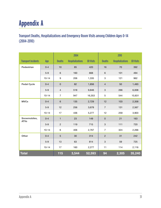# **Appendix A**

Transport Deaths, Hospitalizations and Emergency Room Visits among Children Ages 0-14 (2004-2010)

|                             |           |                | 2004                    |                  |                           | 2010                    |                  |
|-----------------------------|-----------|----------------|-------------------------|------------------|---------------------------|-------------------------|------------------|
| <b>Transport Incidents</b>  | Age       | <b>Deaths</b>  | <b>Hospitalizations</b> | <b>ER Visits</b> | <b>Deaths</b>             | <b>Hospitalizations</b> | <b>ER Visits</b> |
| <b>Pedestrian</b>           | $0 - 4$   | 10             | 85                      | 420              | 16                        | 70                      | 392              |
|                             | $5-9$     | $\,6\,$        | 160                     | 668              | $\,6\,$                   | 101                     | 494              |
|                             | $10 - 14$ | 9              | 206                     | 1,335            | 3                         | 121                     | 962              |
| <b>Pedal Cycle</b>          | $0 - 4$   | $\pmb{0}$      | 82                      | 1,856            | $\overline{4}$            | 50                      | 1,493            |
|                             | $5-9$     | $\overline{4}$ | 518                     | 9,846            | $\ensuremath{\mathsf{3}}$ | 266                     | 6,008            |
|                             | $10 - 14$ | $\overline{7}$ | 947                     | 16,353           | 5                         | 544                     | 10,831           |
| <b>MVCs</b>                 | $0 - 4$   | $\,6$          | 135                     | 2,729            | 12                        | 103                     | 2,358            |
|                             | $5-9$     | 12             | 256                     | 3,678            | $\overline{7}$            | 131                     | 2,567            |
|                             | $10 - 14$ | 17             | 436                     | 5,277            | 12                        | 259                     | 3,903            |
| Snowmobiles,<br><b>ATVs</b> | $0 - 4$   | $\mathbf{1}$   | 23                      | 149              | $\pmb{0}$                 | 21                      | 163              |
|                             | $5-9$     | $\overline{2}$ | 119                     | 715              | 3                         | 111                     | 720              |
|                             | $10 - 14$ | 6              | 406                     | 2,767            | $\boldsymbol{7}$          | 324                     | 2,266            |
| Other                       | $0 - 4$   | 5              | 30                      | 314              | $\overline{2}$            | 31                      | 242              |
|                             | $5-9$     | 13             | 63                      | 814              | 3                         | 59                      | 725              |
|                             | $10 - 14$ | 17             | 160                     | 2,277            | 11                        | 114                     | 2,116            |
| <b>Total</b>                |           | 115            | 3,544                   | 52,593           | 94                        | 2,305                   | 35,240           |